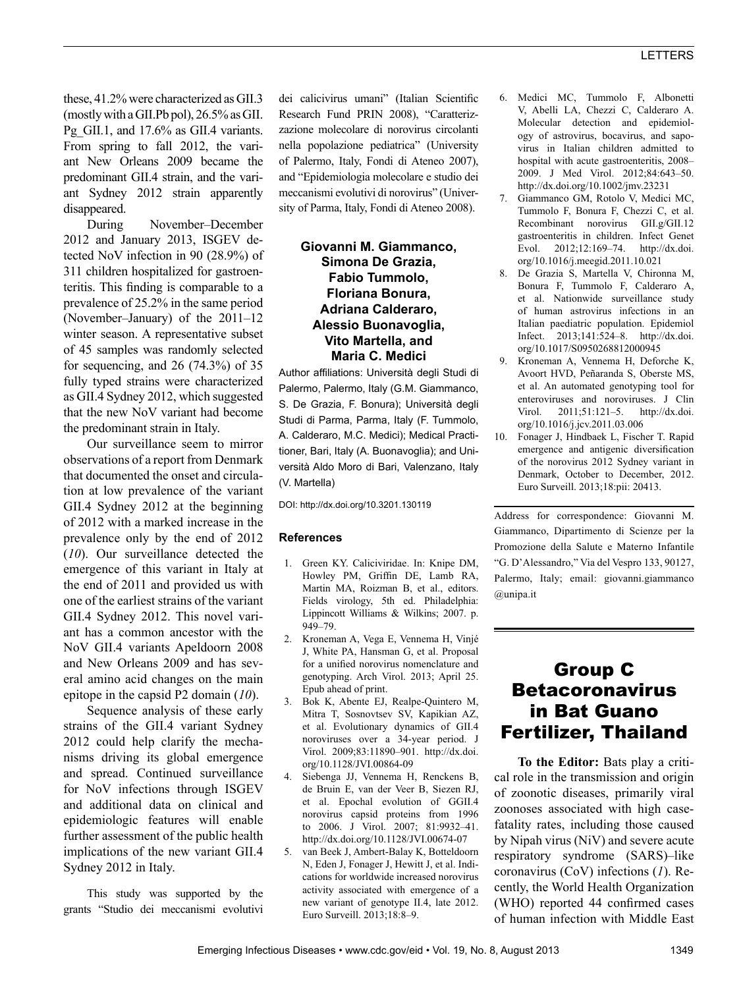these, 41.2% were characterized as GII.3 (mostly with a GII.Pb pol), 26.5% as GII. Pg<sub>GII.1</sub>, and 17.6% as GII.4 variants. From spring to fall 2012, the variant New Orleans 2009 became the predominant GII.4 strain, and the variant Sydney 2012 strain apparently disappeared.

During November–December 2012 and January 2013, ISGEV detected NoV infection in 90 (28.9%) of 311 children hospitalized for gastroenteritis. This finding is comparable to a prevalence of 25.2% in the same period (November–January) of the 2011–12 winter season. A representative subset of 45 samples was randomly selected for sequencing, and 26 (74.3%) of 35 fully typed strains were characterized as GII.4 Sydney 2012, which suggested that the new NoV variant had become the predominant strain in Italy.

Our surveillance seem to mirror observations of a report from Denmark that documented the onset and circulation at low prevalence of the variant GII.4 Sydney 2012 at the beginning of 2012 with a marked increase in the prevalence only by the end of 2012 (*10*). Our surveillance detected the emergence of this variant in Italy at the end of 2011 and provided us with one of the earliest strains of the variant GII.4 Sydney 2012. This novel variant has a common ancestor with the NoV GII.4 variants Apeldoorn 2008 and New Orleans 2009 and has several amino acid changes on the main epitope in the capsid P2 domain (*10*).

Sequence analysis of these early strains of the GII.4 variant Sydney 2012 could help clarify the mechanisms driving its global emergence and spread. Continued surveillance for NoV infections through ISGEV and additional data on clinical and epidemiologic features will enable further assessment of the public health implications of the new variant GII.4 Sydney 2012 in Italy.

This study was supported by the grants "Studio dei meccanismi evolutivi dei calicivirus umani" (Italian Scientific Research Fund PRIN 2008), "Caratterizzazione molecolare di norovirus circolanti nella popolazione pediatrica" (University of Palermo, Italy, Fondi di Ateneo 2007), and "Epidemiologia molecolare e studio dei meccanismi evolutivi di norovirus" (University of Parma, Italy, Fondi di Ateneo 2008).

## **Giovanni M. Giammanco, Simona De Grazia, Fabio Tummolo, Floriana Bonura, Adriana Calderaro, Alessio Buonavoglia, Vito Martella, and Maria C. Medici**

Author affiliations: Università degli Studi di Palermo, Palermo, Italy (G.M. Giammanco, S. De Grazia, F. Bonura); Università degli Studi di Parma, Parma, Italy (F. Tummolo, A. Calderaro, M.C. Medici); Medical Practitioner, Bari, Italy (A. Buonavoglia); and Università Aldo Moro di Bari, Valenzano, Italy (V. Martella)

DOI: http://dx.doi.org/10.3201.130119

### **References**

- 1. Green KY. Caliciviridae. In: Knipe DM, Howley PM, Griffin DE, Lamb RA, Martin MA, Roizman B, et al., editors. Fields virology, 5th ed. Philadelphia: Lippincott Williams & Wilkins; 2007. p. 949–79.
- 2. Kroneman A, Vega E, Vennema H, Vinjé J, White PA, Hansman G, et al. Proposal for a unified norovirus nomenclature and genotyping. Arch Virol. 2013; April 25. Epub ahead of print.
- 3. Bok K, Abente EJ, Realpe-Quintero M, Mitra T, Sosnovtsev SV, Kapikian AZ, et al. Evolutionary dynamics of GII.4 noroviruses over a 34-year period. J Virol. 2009;83:11890–901. http://dx.doi. org/10.1128/JVI.00864-09
- 4. Siebenga JJ, Vennema H, Renckens B, de Bruin E, van der Veer B, Siezen RJ, et al. Epochal evolution of GGII.4 norovirus capsid proteins from 1996 to 2006. J Virol. 2007; 81:9932–41. http://dx.doi.org/10.1128/JVI.00674-07
- 5. van Beek J, Ambert-Balay K, Botteldoorn N, Eden J, Fonager J, Hewitt J, et al. Indications for worldwide increased norovirus activity associated with emergence of a new variant of genotype II.4, late 2012. Euro Surveill. 2013;18:8–9.
- 6. Medici MC, Tummolo F, Albonetti V, Abelli LA, Chezzi C, Calderaro A. Molecular detection and epidemiology of astrovirus, bocavirus, and sapovirus in Italian children admitted to hospital with acute gastroenteritis, 2008– 2009. J Med Virol. 2012;84:643–50. http://dx.doi.org/10.1002/jmv.23231
- 7. Giammanco GM, Rotolo V, Medici MC, Tummolo F, Bonura F, Chezzi C, et al. Recombinant norovirus GII.g/GII.12 gastroenteritis in children. Infect Genet Evol. 2012;12:169–74. http://dx.doi. org/10.1016/j.meegid.2011.10.021
- 8. De Grazia S, Martella V, Chironna M, Bonura F, Tummolo F, Calderaro A, et al. Nationwide surveillance study of human astrovirus infections in an Italian paediatric population. Epidemiol Infect. 2013;141:524–8. http://dx.doi. org/10.1017/S0950268812000945
- 9. Kroneman A, Vennema H, Deforche K, Avoort HVD, Peñaranda S, Oberste MS, et al. An automated genotyping tool for enteroviruses and noroviruses. J Clin<br>Virol. 2011;51:121-5. http://dx.doi. Virol. 2011;51:121-5. org/10.1016/j.jcv.2011.03.006
- 10. Fonager J, Hindbaek L, Fischer T. Rapid emergence and antigenic diversification of the norovirus 2012 Sydney variant in Denmark, October to December, 2012. Euro Surveill. 2013;18:pii: 20413.

Address for correspondence: Giovanni M. Giammanco, Dipartimento di Scienze per la Promozione della Salute e Materno Infantile "G. D'Alessandro," Via del Vespro 133, 90127, Palermo, Italy; email: giovanni.giammanco @unipa.it

# Group C Betacoronavirus in Bat Guano Fertilizer, Thailand

**To the Editor:** Bats play a critical role in the transmission and origin of zoonotic diseases, primarily viral zoonoses associated with high casefatality rates, including those caused by Nipah virus (NiV) and severe acute respiratory syndrome (SARS)–like coronavirus (CoV) infections (*1*). Recently, the World Health Organization (WHO) reported 44 confirmed cases of human infection with Middle East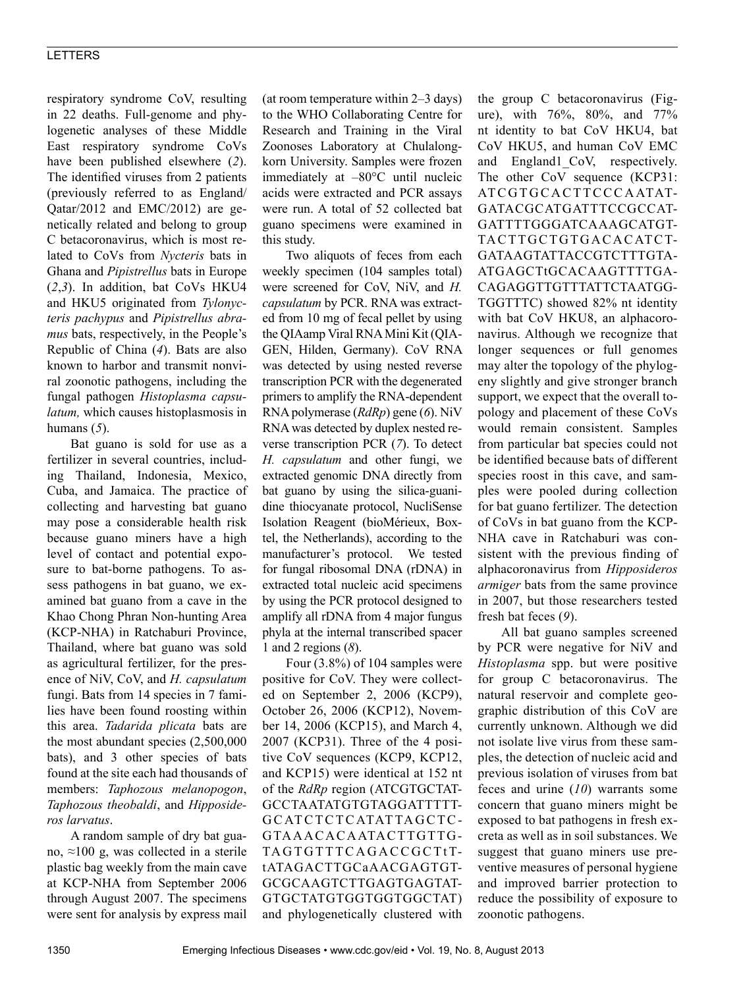## LETTERS

respiratory syndrome CoV, resulting in 22 deaths. Full-genome and phylogenetic analyses of these Middle East respiratory syndrome CoVs have been published elsewhere (*2*). The identified viruses from 2 patients (previously referred to as England/ Qatar/2012 and EMC/2012) are genetically related and belong to group C betacoronavirus, which is most related to CoVs from *Nycteris* bats in Ghana and *Pipistrellus* bats in Europe (*2*,*3*). In addition, bat CoVs HKU4 and HKU5 originated from *Tylonycteris pachypus* and *Pipistrellus abramus* bats, respectively, in the People's Republic of China (*4*). Bats are also known to harbor and transmit nonviral zoonotic pathogens, including the fungal pathogen *Histoplasma capsulatum,* which causes histoplasmosis in humans (*5*).

Bat guano is sold for use as a fertilizer in several countries, including Thailand, Indonesia, Mexico, Cuba, and Jamaica. The practice of collecting and harvesting bat guano may pose a considerable health risk because guano miners have a high level of contact and potential exposure to bat-borne pathogens. To assess pathogens in bat guano, we examined bat guano from a cave in the Khao Chong Phran Non-hunting Area (KCP-NHA) in Ratchaburi Province, Thailand, where bat guano was sold as agricultural fertilizer, for the presence of NiV, CoV, and *H. capsulatum* fungi. Bats from 14 species in 7 families have been found roosting within this area. *Tadarida plicata* bats are the most abundant species (2,500,000 bats), and 3 other species of bats found at the site each had thousands of members: *Taphozous melanopogon*, *Taphozous theobaldi*, and *Hipposideros larvatus*.

A random sample of dry bat guano, ≈100 g, was collected in a sterile plastic bag weekly from the main cave at KCP-NHA from September 2006 through August 2007. The specimens were sent for analysis by express mail (at room temperature within 2–3 days) to the WHO Collaborating Centre for Research and Training in the Viral Zoonoses Laboratory at Chulalongkorn University. Samples were frozen immediately at –80°C until nucleic acids were extracted and PCR assays were run. A total of 52 collected bat guano specimens were examined in this study.

Two aliquots of feces from each weekly specimen (104 samples total) were screened for CoV, NiV, and *H. capsulatum* by PCR. RNA was extracted from 10 mg of fecal pellet by using the QIAamp Viral RNA Mini Kit (QIA-GEN, Hilden, Germany). CoV RNA was detected by using nested reverse transcription PCR with the degenerated primers to amplify the RNA-dependent RNA polymerase (*RdRp*) gene (*6*). NiV RNA was detected by duplex nested reverse transcription PCR (*7*). To detect *H. capsulatum* and other fungi, we extracted genomic DNA directly from bat guano by using the silica-guanidine thiocyanate protocol, NucliSense Isolation Reagent (bioMérieux, Boxtel, the Netherlands), according to the manufacturer's protocol. We tested for fungal ribosomal DNA (rDNA) in extracted total nucleic acid specimens by using the PCR protocol designed to amplify all rDNA from 4 major fungus phyla at the internal transcribed spacer 1 and 2 regions (*8*).

Four (3.8%) of 104 samples were positive for CoV. They were collected on September 2, 2006 (KCP9), October 26, 2006 (KCP12), November 14, 2006 (KCP15), and March 4, 2007 (KCP31). Three of the 4 positive CoV sequences (KCP9, KCP12, and KCP15) were identical at 152 nt of the *RdRp* region (ATCGTGCTAT-GCCTAATATGTGTAGGATTTTT-GCATCTCTCATATTAGCTC-GTAAACACAATACTTGTTG-TAGTGTTTCAGACCGCTtTtATAGACTTGCaAACGAGTGT-GCGCAAGTCTTGAGTGAGTAT-GTGCTATGTGGTGGTGGCTAT) and phylogenetically clustered with the group C betacoronavirus (Figure), with 76%, 80%, and 77% nt identity to bat CoV HKU4, bat CoV HKU5, and human CoV EMC and England1\_CoV, respectively. The other CoV sequence (KCP31: ATCGTGCACTTCCCAATAT-GATACGCATGATTTCCGCCAT-GATTTTGGGATCAAAGCATGT-TACTTGCTGTGACACATCT-GATAAGTATTACCGTCTTTGTA-ATGAGCTtGCACAAGTTTTGA-CAGAGGTTGTTTATTCTAATGG-TGGTTTC) showed 82% nt identity with bat CoV HKU8, an alphacoronavirus. Although we recognize that longer sequences or full genomes may alter the topology of the phylogeny slightly and give stronger branch support, we expect that the overall topology and placement of these CoVs would remain consistent. Samples from particular bat species could not be identified because bats of different species roost in this cave, and samples were pooled during collection for bat guano fertilizer. The detection of CoVs in bat guano from the KCP-NHA cave in Ratchaburi was consistent with the previous finding of alphacoronavirus from *Hipposideros armiger* bats from the same province in 2007, but those researchers tested fresh bat feces (*9*).

All bat guano samples screened by PCR were negative for NiV and *Histoplasma* spp. but were positive for group C betacoronavirus. The natural reservoir and complete geographic distribution of this CoV are currently unknown. Although we did not isolate live virus from these samples, the detection of nucleic acid and previous isolation of viruses from bat feces and urine (*10*) warrants some concern that guano miners might be exposed to bat pathogens in fresh excreta as well as in soil substances. We suggest that guano miners use preventive measures of personal hygiene and improved barrier protection to reduce the possibility of exposure to zoonotic pathogens.